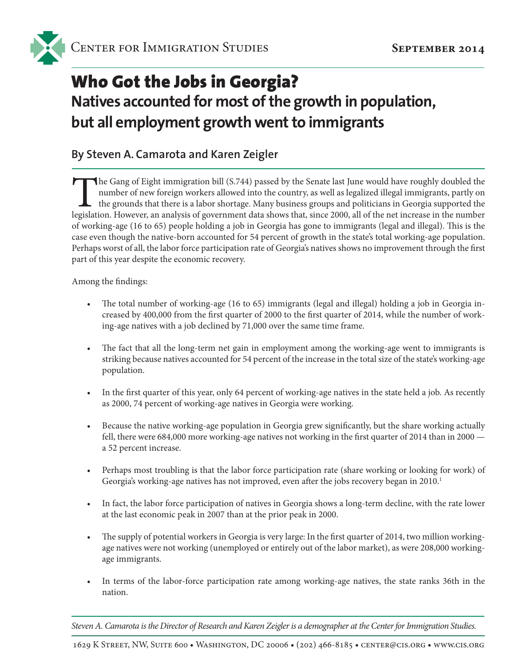

# Who Got the Jobs in Georgia? **Natives accounted for most of the growth in population, but all employment growth went to immigrants**

#### **By Steven A. Camarota and Karen Zeigler**

The Gang of Eight immigration bill (S.744) passed by the Senate last June would have roughly doubled the number of new foreign workers allowed into the country, as well as legalized illegal immigrants, partly on the ground number of new foreign workers allowed into the country, as well as legalized illegal immigrants, partly on the grounds that there is a labor shortage. Many business groups and politicians in Georgia supported the legislation. However, an analysis of government data shows that, since 2000, all of the net increase in the number of working-age (16 to 65) people holding a job in Georgia has gone to immigrants (legal and illegal). This is the case even though the native-born accounted for 54 percent of growth in the state's total working-age population. Perhaps worst of all, the labor force participation rate of Georgia's natives shows no improvement through the first part of this year despite the economic recovery.

Among the findings:

- The total number of working-age (16 to 65) immigrants (legal and illegal) holding a job in Georgia increased by 400,000 from the first quarter of 2000 to the first quarter of 2014, while the number of working-age natives with a job declined by 71,000 over the same time frame.
- The fact that all the long-term net gain in employment among the working-age went to immigrants is striking because natives accounted for 54 percent of the increase in the total size of the state's working-age population.
- In the first quarter of this year, only 64 percent of working-age natives in the state held a job. As recently as 2000, 74 percent of working-age natives in Georgia were working.
- Because the native working-age population in Georgia grew significantly, but the share working actually fell, there were 684,000 more working-age natives not working in the first quarter of 2014 than in 2000 a 52 percent increase.
- Perhaps most troubling is that the labor force participation rate (share working or looking for work) of Georgia's working-age natives has not improved, even after the jobs recovery began in 2010.<sup>1</sup>
- In fact, the labor force participation of natives in Georgia shows a long-term decline, with the rate lower at the last economic peak in 2007 than at the prior peak in 2000.
- The supply of potential workers in Georgia is very large: In the first quarter of 2014, two million workingage natives were not working (unemployed or entirely out of the labor market), as were 208,000 workingage immigrants.
- In terms of the labor-force participation rate among working-age natives, the state ranks 36th in the nation.

*Steven A. Camarota is the Director of Research and Karen Zeigler is a demographer at the Center for Immigration Studies.*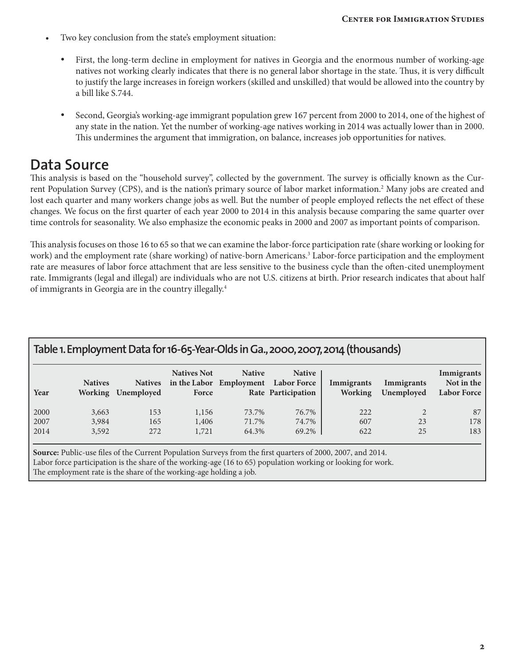- Two key conclusion from the state's employment situation:
	- First, the long-term decline in employment for natives in Georgia and the enormous number of working-age natives not working clearly indicates that there is no general labor shortage in the state. Thus, it is very difficult to justify the large increases in foreign workers (skilled and unskilled) that would be allowed into the country by a bill like S.744.
	- Second, Georgia's working-age immigrant population grew 167 percent from 2000 to 2014, one of the highest of any state in the nation. Yet the number of working-age natives working in 2014 was actually lower than in 2000. This undermines the argument that immigration, on balance, increases job opportunities for natives.

### **Data Source**

This analysis is based on the "household survey", collected by the government. The survey is officially known as the Current Population Survey (CPS), and is the nation's primary source of labor market information.2 Many jobs are created and lost each quarter and many workers change jobs as well. But the number of people employed reflects the net effect of these changes. We focus on the first quarter of each year 2000 to 2014 in this analysis because comparing the same quarter over time controls for seasonality. We also emphasize the economic peaks in 2000 and 2007 as important points of comparison.

This analysis focuses on those 16 to 65 so that we can examine the labor-force participation rate (share working or looking for work) and the employment rate (share working) of native-born Americans.<sup>3</sup> Labor-force participation and the employment rate are measures of labor force attachment that are less sensitive to the business cycle than the often-cited unemployment rate. Immigrants (legal and illegal) are individuals who are not U.S. citizens at birth. Prior research indicates that about half of immigrants in Georgia are in the country illegally.4

| Table 1. Employment Data for 16-65-Year-Olds in Ga., 2000, 2007, 2014 (thousands) |                         |                                      |                             |                                          |                                                           |                              |                          |                                                |  |  |  |
|-----------------------------------------------------------------------------------|-------------------------|--------------------------------------|-----------------------------|------------------------------------------|-----------------------------------------------------------|------------------------------|--------------------------|------------------------------------------------|--|--|--|
| Year                                                                              | <b>Natives</b>          | <b>Natives</b><br>Working Unemployed | <b>Natives Not</b><br>Force | <b>Native</b><br>in the Labor Employment | <b>Native</b><br><b>Labor Force</b><br>Rate Participation | Immigrants<br><b>Working</b> | Immigrants<br>Unemployed | Immigrants<br>Not in the<br><b>Labor Force</b> |  |  |  |
| 2000<br>2007<br>2014                                                              | 3,663<br>3,984<br>3,592 | 153<br>165<br>272                    | 1,156<br>1,406<br>1,721     | 73.7%<br>71.7%<br>64.3%                  | 76.7%<br>74.7%<br>69.2%                                   | 222<br>607<br>622            | 23<br>25                 | 87<br>178<br>183                               |  |  |  |

**Source:** Public-use files of the Current Population Surveys from the first quarters of 2000, 2007, and 2014. Labor force participation is the share of the working-age (16 to 65) population working or looking for work. The employment rate is the share of the working-age holding a job.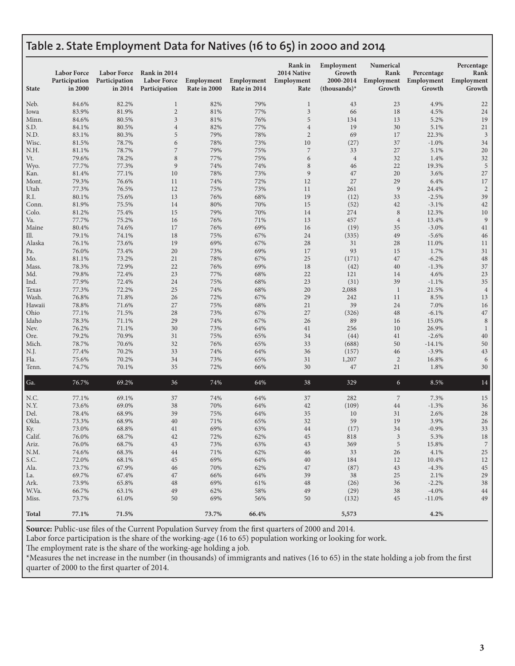### **Table 2. State Employment Data for Natives (16 to 65) in 2000 and 2014**

| <b>State</b>  | <b>Labor Force</b><br>Participation<br>in 2000 | <b>Labor Force</b><br>Participation<br>in 2014 | Rank in 2014<br><b>Labor Force</b><br>Participation | Employment<br>Rate in 2000 | Employment<br>Rate in 2014 | <b>Rank</b> in<br>2014 Native<br>Employment<br>Rate | Employment<br>Growth<br>2000-2014<br>$-thousands$ <sup>*</sup> | Numerical<br>Rank<br>Employment<br>Growth | Percentage<br>Employment<br>Growth | Percentage<br>Rank<br>Employment<br>Growth |
|---------------|------------------------------------------------|------------------------------------------------|-----------------------------------------------------|----------------------------|----------------------------|-----------------------------------------------------|----------------------------------------------------------------|-------------------------------------------|------------------------------------|--------------------------------------------|
| Neb.          | 84.6%                                          | 82.2%                                          | $\mathbf{1}$                                        | 82%                        | 79%                        | $\mathbf{1}$                                        | 43                                                             | 23                                        | 4.9%                               | 22                                         |
| Iowa          | 83.9%                                          | 81.9%                                          | $\sqrt{2}$                                          | 81%                        | 77%                        | 3                                                   | 66                                                             | 18                                        | 4.5%                               | 24                                         |
| Minn.         | 84.6%                                          | 80.5%                                          | 3                                                   | 81%                        | 76%                        | 5                                                   | 134                                                            | 13                                        | 5.2%                               | 19                                         |
| S.D.          | 84.1%                                          | 80.5%                                          | $\overline{4}$                                      | 82%                        | 77%                        | $\overline{4}$                                      | 19                                                             | 30                                        | 5.1%                               | $21\,$                                     |
| N.D.          | 83.1%                                          | 80.3%                                          | 5                                                   | 79%                        | 78%                        | $\overline{2}$                                      | 69                                                             | 17                                        | 22.3%                              | 3                                          |
| Wisc.         | 81.5%                                          | 78.7%                                          | 6                                                   | 78%                        | 73%                        | 10                                                  | (27)                                                           | 37                                        | $-1.0%$                            | 34                                         |
| N.H.          | 81.1%                                          | 78.7%                                          | $\sqrt{2}$                                          | 79%                        | 75%                        | $\overline{7}$                                      | 33                                                             | 27                                        | 5.1%                               | 20                                         |
| Vt.           | 79.6%                                          | 78.2%                                          | 8                                                   | 77%                        | 75%                        | 6                                                   | $\overline{4}$                                                 | 32                                        | 1.4%                               | 32                                         |
| Wyo.          | 77.7%                                          | 77.3%                                          | 9                                                   | 74%                        | 74%                        | 8                                                   | 46                                                             | 22                                        | 19.3%                              | 5                                          |
| Kan.          | 81.4%                                          | 77.1%                                          | 10                                                  | 78%                        | 73%                        | $\overline{9}$                                      | 47                                                             | 20                                        | 3.6%                               | 27                                         |
| Mont.         | 79.3%                                          | 76.6%                                          | 11<br>12                                            | 74%                        | 72%                        | 12                                                  | 27                                                             | 29                                        | 6.4%                               | 17                                         |
| Utah<br>R.I.  | 77.3%<br>80.1%                                 | 76.5%<br>75.6%                                 | 13                                                  | 75%<br>76%                 | 73%<br>68%                 | 11<br>19                                            | 261<br>(12)                                                    | $\boldsymbol{9}$<br>33                    | 24.4%<br>$-2.5%$                   | $\sqrt{2}$<br>39                           |
| Conn.         | 81.9%                                          | 75.5%                                          | 14                                                  | 80%                        | 70%                        | 15                                                  | (52)                                                           | 42                                        | $-3.1%$                            | 42                                         |
| Colo.         | 81.2%                                          | 75.4%                                          | 15                                                  | 79%                        | 70%                        | 14                                                  | 274                                                            | $\,8\,$                                   | 12.3%                              | 10                                         |
| Va.           | 77.7%                                          | 75.2%                                          | 16                                                  | 76%                        | 71%                        | 13                                                  | 457                                                            | $\,4\,$                                   | 13.4%                              | 9                                          |
| Maine         | 80.4%                                          | 74.6%                                          | 17                                                  | 76%                        | 69%                        | 16                                                  | (19)                                                           | 35                                        | $-3.0%$                            | 41                                         |
| Ill.          | 79.1%                                          | 74.1%                                          | 18                                                  | 75%                        | 67%                        | 24                                                  | (335)                                                          | 49                                        | $-5.6%$                            | 46                                         |
| Alaska        | 76.1%                                          | 73.6%                                          | 19                                                  | 69%                        | 67%                        | 28                                                  | 31                                                             | 28                                        | 11.0%                              | 11                                         |
| Pa.           | 76.0%                                          | 73.4%                                          | 20                                                  | 73%                        | 69%                        | 17                                                  | 93                                                             | 15                                        | 1.7%                               | 31                                         |
| Mo.           | 81.1%                                          | 73.2%                                          | 21                                                  | 78%                        | 67%                        | 25                                                  | (171)                                                          | 47                                        | $-6.2%$                            | $48\,$                                     |
| Mass.         | 78.3%                                          | 72.9%                                          | 22                                                  | 76%                        | 69%                        | 18                                                  | (42)                                                           | 40                                        | $-1.3%$                            | 37                                         |
| Md.           | 79.8%                                          | 72.4%                                          | 23                                                  | 77%                        | 68%                        | 22                                                  | 121                                                            | 14                                        | 4.6%                               | 23                                         |
| Ind.          | 77.9%                                          | 72.4%                                          | 24                                                  | 75%                        | 68%                        | 23                                                  | (31)                                                           | 39                                        | $-1.1%$                            | 35                                         |
| Texas         | 77.3%                                          | 72.2%                                          | 25                                                  | 74%                        | 68%                        | 20                                                  | 2,088                                                          | $\mathbf{1}$                              | 21.5%                              | $\overline{4}$                             |
| Wash.         | 76.8%                                          | 71.8%                                          | 26                                                  | 72%                        | 67%                        | 29                                                  | 242                                                            | 11                                        | 8.5%                               | 13                                         |
| Hawaii        | 78.8%                                          | 71.6%                                          | 27                                                  | 75%                        | 68%                        | 21                                                  | 39                                                             | 24                                        | 7.0%                               | 16                                         |
| Ohio<br>Idaho | 77.1%<br>78.3%                                 | 71.5%<br>71.1%                                 | 28<br>29                                            | 73%<br>74%                 | 67%<br>67%                 | 27<br>26                                            | (326)<br>89                                                    | 48<br>16                                  | $-6.1%$<br>15.0%                   | 47<br>8                                    |
| Nev.          | 76.2%                                          | 71.1%                                          | 30                                                  | 73%                        | 64%                        | 41                                                  | 256                                                            | 10                                        | 26.9%                              | 1                                          |
| Ore.          | 79.2%                                          | 70.9%                                          | 31                                                  | 75%                        | 65%                        | 34                                                  | (44)                                                           | 41                                        | $-2.6%$                            | 40                                         |
| Mich.         | 78.7%                                          | 70.6%                                          | 32                                                  | 76%                        | 65%                        | 33                                                  | (688)                                                          | 50                                        | $-14.1%$                           | 50                                         |
| N.J.          | 77.4%                                          | 70.2%                                          | 33                                                  | 74%                        | 64%                        | 36                                                  | (157)                                                          | 46                                        | $-3.9%$                            | 43                                         |
| Fla.          | 75.6%                                          | 70.2%                                          | 34                                                  | 73%                        | 65%                        | 31                                                  | 1,207                                                          | $\overline{2}$                            | 16.8%                              | 6                                          |
| Tenn.         | 74.7%                                          | 70.1%                                          | 35                                                  | 72%                        | 66%                        | 30                                                  | 47                                                             | 21                                        | 1.8%                               | 30                                         |
| Ga.           | 76.7%                                          | 69.2%                                          | 36                                                  | 74%                        | 64%                        | 38                                                  | 329                                                            | 6                                         | 8.5%                               | 14                                         |
| N.C.          | 77.1%                                          | 69.1%                                          | 37                                                  | 74%                        | 64%                        | 37                                                  | 282                                                            | $\overline{7}$                            | 7.3%                               | 15                                         |
| N.Y.          | 73.6%                                          | 69.0%                                          | 38                                                  | 70%                        | 64%                        | 42                                                  | (109)                                                          | 44                                        | $-1.3%$                            | 36                                         |
| Del.          | 78.4%                                          | 68.9%                                          | 39                                                  | 75%                        | 64%                        | 35                                                  | 10                                                             | 31                                        | 2.6%                               | 28                                         |
| Okla.         | 73.3%                                          | 68.9%                                          | 40                                                  | 71%                        | 65%                        | 32                                                  | 59                                                             | 19                                        | 3.9%                               | 26                                         |
| Ky.           | 73.0%                                          | 68.8%                                          | 41                                                  | 69%                        | 63%                        | 44                                                  | (17)                                                           | 34                                        | $-0.9%$                            | 33                                         |
| Calif.        | 76.0%                                          | 68.7%                                          | 42                                                  | 72%                        | 62%                        | 45                                                  | 818                                                            | $\mathfrak{Z}$                            | 5.3%                               | 18                                         |
| Ariz.         | 76.0%                                          | 68.7%                                          | 43                                                  | 73%                        | 63%                        | 43                                                  | 369                                                            | 5                                         | 15.8%                              | $\overline{7}$                             |
| N.M.          | 74.6%                                          | 68.3%                                          | 44                                                  | 71%                        | 62%                        | 46                                                  | 33                                                             | 26                                        | 4.1%                               | 25                                         |
| S.C.<br>Ala.  | 72.0%<br>73.7%                                 | 68.1%<br>67.9%                                 | 45<br>46                                            | 69%<br>70%                 | 64%<br>62%                 | 40<br>47                                            | 184<br>(87)                                                    | 12<br>43                                  | 10.4%<br>$-4.3%$                   | 12<br>45                                   |
| La.           | 69.7%                                          | 67.4%                                          | 47                                                  | 66%                        | 64%                        | 39                                                  | 38                                                             | 25                                        | 2.1%                               | 29                                         |
| Ark.          | 73.9%                                          | 65.8%                                          | 48                                                  | 69%                        | 61%                        | 48                                                  | (26)                                                           | 36                                        | $-2.2%$                            | 38                                         |
| W.Va.         | 66.7%                                          | 63.1%                                          | 49                                                  | 62%                        | 58%                        | 49                                                  | (29)                                                           | 38                                        | $-4.0\%$                           | 44                                         |
| Miss.         | 73.7%                                          | 61.0%                                          | 50                                                  | 69%                        | 56%                        | 50                                                  | (132)                                                          | 45                                        | $-11.0%$                           | 49                                         |
| <b>Total</b>  | 77.1%                                          | 71.5%                                          |                                                     | 73.7%                      | 66.4%                      |                                                     | 5,573                                                          |                                           | 4.2%                               |                                            |

**Source:** Public-use files of the Current Population Survey from the first quarters of 2000 and 2014.

Labor force participation is the share of the working-age (16 to 65) population working or looking for work.

The employment rate is the share of the working-age holding a job.

\*Measures the net increase in the number (in thousands) of immigrants and natives (16 to 65) in the state holding a job from the first quarter of 2000 to the first quarter of 2014.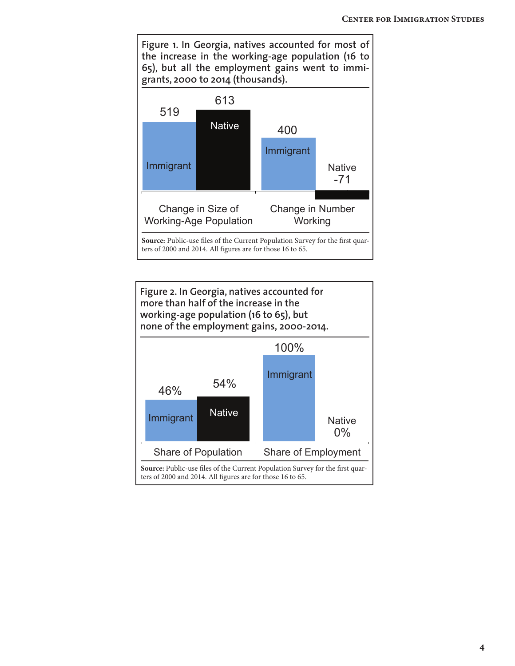

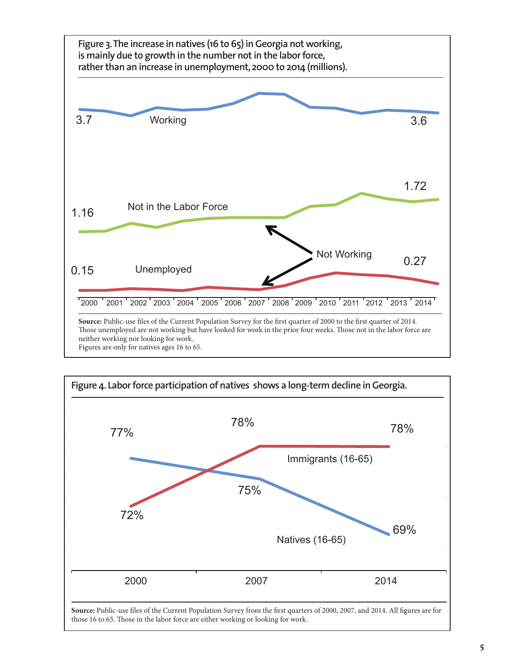

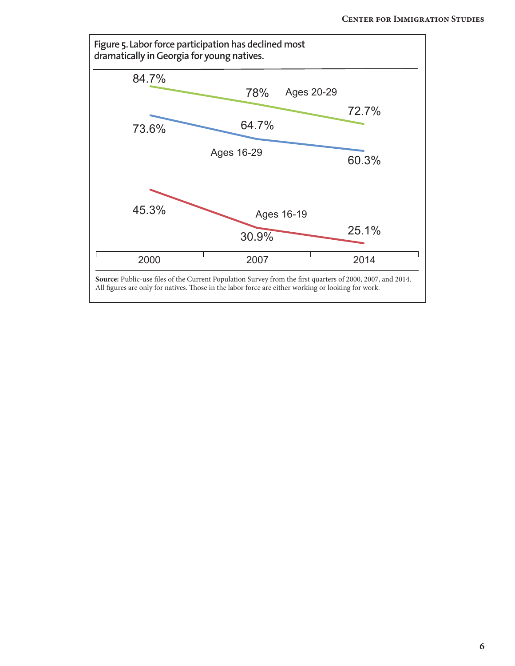